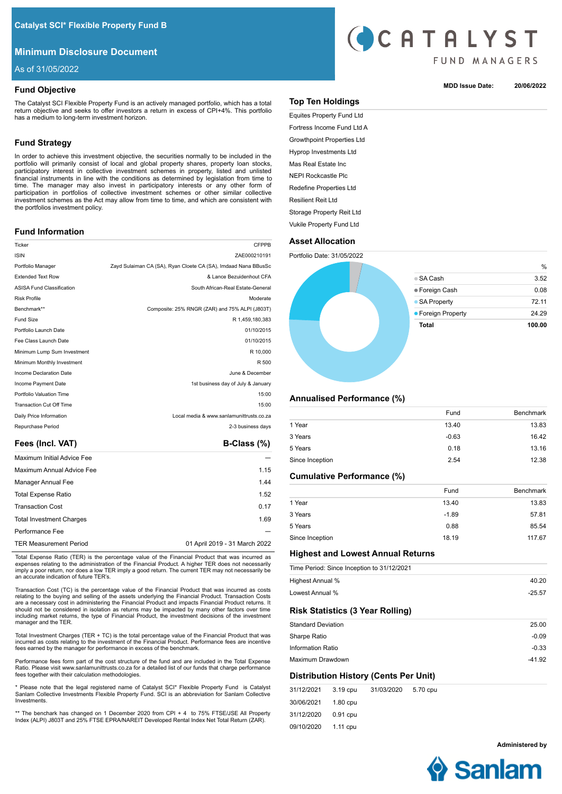# **Minimum Disclosure Document**

As of 31/05/2022

# **Fund Objective**

The Catalyst SCI Flexible Property Fund is an actively managed portfolio, which has a total return objective and seeks to offer investors a return in excess of CPI+4%. This portfolio has a medium to long-term investment horizon.

# **Fund Strategy**

In order to achieve this investment objective, the securities normally to be included in the portfolio will primarily consist of local and global property shares, property loan stocks, participatory interest in collective investment schemes in property, listed and unlisted financial instruments in line with the conditions as determined by legislation from time to time. The manager may also invest in participatory interests or any other form of participation in portfolios of collective investment schemes or other similar collective investment schemes as the Act may allow from time to time, and which are consistent with the portfolios investment policy.

# **Fund Information**

| Ticker                           | <b>CFPPB</b>                                                   |
|----------------------------------|----------------------------------------------------------------|
| <b>ISIN</b>                      | ZAE000210191                                                   |
| Portfolio Manager                | Zayd Sulaiman CA (SA), Ryan Cloete CA (SA), Imdaad Nana BBusSc |
| <b>Extended Text Row</b>         | & Lance Bezuidenhout CFA                                       |
| <b>ASISA Fund Classification</b> | South African-Real Estate-General                              |
| <b>Risk Profile</b>              | Moderate                                                       |
| Benchmark**                      | Composite: 25% RNGR (ZAR) and 75% ALPI (J803T)                 |
| <b>Fund Size</b>                 | R 1,459,180,383                                                |
| Portfolio Launch Date            | 01/10/2015                                                     |
| Fee Class Launch Date            | 01/10/2015                                                     |
| Minimum Lump Sum Investment      | R 10,000                                                       |
| Minimum Monthly Investment       | R 500                                                          |
| Income Declaration Date          | June & December                                                |
| Income Payment Date              | 1st business day of July & January                             |
| Portfolio Valuation Time         | 15:00                                                          |
| <b>Transaction Cut Off Time</b>  | 15:00                                                          |
| Daily Price Information          | Local media & www.sanlamunittrusts.co.za                       |
| Repurchase Period                | 2-3 business days                                              |
|                                  |                                                                |

# Fees (Incl. VAT) **B-Class (%)**

| Maximum Initial Advice Fee<br>Maximum Annual Advice Fee<br>Manager Annual Fee<br><b>Total Expense Ratio</b><br><b>Transaction Cost</b><br><b>Total Investment Charges</b> |                               |
|---------------------------------------------------------------------------------------------------------------------------------------------------------------------------|-------------------------------|
|                                                                                                                                                                           |                               |
|                                                                                                                                                                           | 1.15                          |
|                                                                                                                                                                           | 1.44                          |
|                                                                                                                                                                           | 1.52                          |
|                                                                                                                                                                           | 0.17                          |
|                                                                                                                                                                           | 1.69                          |
| Performance Fee                                                                                                                                                           |                               |
| <b>TER Measurement Period</b>                                                                                                                                             | 01 April 2019 - 31 March 2022 |

Total Expense Ratio (TER) is the percentage value of the Financial Product that was incurred as expenses relating to the administration of the Financial Product. A higher TER does not necessarily imply a poor return, nor does a low TER imply a good return. The current TER may not necessarily be an accurate indication of future TER's.

Transaction Cost (TC) is the percentage value of the Financial Product that was incurred as costs relating to the buying and selling of the assets underlying the Financial Product. Transaction Costs are a necessary cost in administering the Financial Product and impacts Financial Product returns. It should not be considered in isolation as returns may be impacted by many other factors over time including market returns, the type of Financial Product, the investment decisions of the investment manager and the TER.

Total Investment Charges (TER + TC) is the total percentage value of the Financial Product that was incurred as costs relating to the investment of the Financial Product. Performance fees are incentive fees earned by the manager for performance in excess of the benchmark.

Performance fees form part of the cost structure of the fund and are included in the Total Expense Ratio. Please visit www.sanlamunittrusts.co.za for a detailed list of our funds that charge performance fees together with their calculation methodologies.

\* Please note that the legal registered name of Catalyst SCI\* Flexible Property Fund is Catalyst Sanlam Collective Investments Flexible Property Fund. SCI is an abbreviation for Sanlam Collective Investments.

\*\* The benchark has changed on 1 December 2020 from CPI + 4 to 75% FTSE/JSE All Property Index (ALPI) J803T and 25% FTSE EPRA/NAREIT Developed Rental Index Net Total Return (ZAR).



## **MDD Issue Date: 20/06/2022**

## **Top Ten Holdings**

Equites Property Fund Ltd Fortress Income Fund Ltd A Growthpoint Properties Ltd Hyprop Investments Ltd Mas Real Estate Inc NEPI Rockcastle Plc Redefine Properties Ltd Resilient Reit Ltd Storage Property Reit Ltd Vukile Property Fund Ltd

# **Asset Allocation**



## **Annualised Performance (%)**

|                 | Fund    | <b>Benchmark</b> |
|-----------------|---------|------------------|
| 1 Year          | 13.40   | 13.83            |
| 3 Years         | $-0.63$ | 16.42            |
| 5 Years         | 0.18    | 13.16            |
| Since Inception | 2.54    | 12.38            |

# **Cumulative Performance (%)**

|                 | Fund    | <b>Benchmark</b> |
|-----------------|---------|------------------|
| 1 Year          | 13.40   | 13.83            |
| 3 Years         | $-1.89$ | 57.81            |
| 5 Years         | 0.88    | 85.54            |
| Since Inception | 18.19   | 117.67           |

# **Highest and Lowest Annual Returns**

|                           |          | Time Period: Since Inception to 31/12/2021 |          |          |
|---------------------------|----------|--------------------------------------------|----------|----------|
| Highest Annual %          |          |                                            |          | 40.20    |
| Lowest Annual %           |          |                                            |          | $-25.57$ |
|                           |          | <b>Risk Statistics (3 Year Rolling)</b>    |          |          |
| <b>Standard Deviation</b> |          |                                            |          | 25.00    |
| Sharpe Ratio              |          |                                            |          | $-0.09$  |
| <b>Information Ratio</b>  |          |                                            |          | $-0.33$  |
| Maximum Drawdown          |          |                                            |          | $-41.92$ |
|                           |          | Distribution History (Cents Per Unit)      |          |          |
| 31/12/2021                | 3.19 cpu | 31/03/2020                                 | 5.70 cpu |          |

30/06/2021 31/12/2020 09/10/2020 1.80 cpu 0.91 cpu 1.11 cpu

**Administered by**